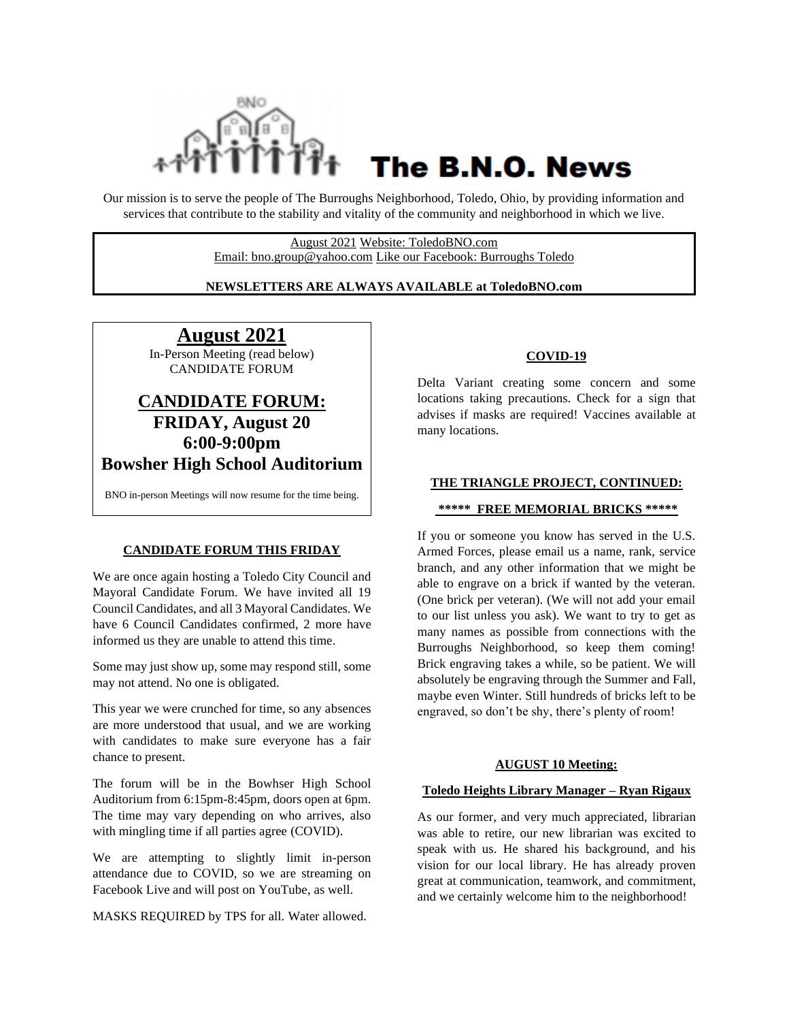

# The B.N.O. News

Our mission is to serve the people of The Burroughs Neighborhood, Toledo, Ohio, by providing information and services that contribute to the stability and vitality of the community and neighborhood in which we live.

> August 2021 Website: ToledoBNO.com Email: bno.group@yahoo.com Like our Facebook: Burroughs Toledo

#### **NEWSLETTERS ARE ALWAYS AVAILABLE at ToledoBNO.com**

### **August 2021**

In-Person Meeting (read below) CANDIDATE FORUM

## **CANDIDATE FORUM: FRIDAY, August 20 6:00-9:00pm Bowsher High School Auditorium**

BNO in-person Meetings will now resume for the time being.

#### **CANDIDATE FORUM THIS FRIDAY**

We are once again hosting a Toledo City Council and Mayoral Candidate Forum. We have invited all 19 Council Candidates, and all 3 Mayoral Candidates. We have 6 Council Candidates confirmed, 2 more have informed us they are unable to attend this time.

Some may just show up, some may respond still, some may not attend. No one is obligated.

This year we were crunched for time, so any absences are more understood that usual, and we are working with candidates to make sure everyone has a fair chance to present.

The forum will be in the Bowhser High School Auditorium from 6:15pm-8:45pm, doors open at 6pm. The time may vary depending on who arrives, also with mingling time if all parties agree (COVID).

We are attempting to slightly limit in-person attendance due to COVID, so we are streaming on Facebook Live and will post on YouTube, as well.

MASKS REQUIRED by TPS for all. Water allowed.

#### **COVID-19**

Delta Variant creating some concern and some locations taking precautions. Check for a sign that advises if masks are required! Vaccines available at many locations.

#### **THE TRIANGLE PROJECT, CONTINUED:**

#### **\*\*\*\*\* FREE MEMORIAL BRICKS \*\*\*\*\***

If you or someone you know has served in the U.S. Armed Forces, please email us a name, rank, service branch, and any other information that we might be able to engrave on a brick if wanted by the veteran. (One brick per veteran). (We will not add your email to our list unless you ask). We want to try to get as many names as possible from connections with the Burroughs Neighborhood, so keep them coming! Brick engraving takes a while, so be patient. We will absolutely be engraving through the Summer and Fall, maybe even Winter. Still hundreds of bricks left to be engraved, so don't be shy, there's plenty of room!

#### **AUGUST 10 Meeting:**

#### **Toledo Heights Library Manager – Ryan Rigaux**

As our former, and very much appreciated, librarian was able to retire, our new librarian was excited to speak with us. He shared his background, and his vision for our local library. He has already proven great at communication, teamwork, and commitment, and we certainly welcome him to the neighborhood!